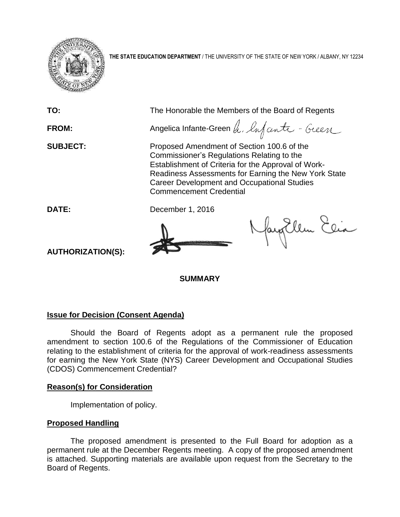

**THE STATE EDUCATION DEPARTMENT** / THE UNIVERSITY OF THE STATE OF NEW YORK / ALBANY, NY 12234

**TO:** The Honorable the Members of the Board of Regents **FROM:** Angelica Infante-Green h, lufanti - Guen **SUBJECT:** Proposed Amendment of Section 100.6 of the Commissioner's Regulations Relating to the Establishment of Criteria for the Approval of Work-Readiness Assessments for Earning the New York State Career Development and Occupational Studies Commencement Credential **DATE:** December 1, 2016 Nayorllem Elia **AUTHORIZATION(S):**

**SUMMARY**

## **Issue for Decision (Consent Agenda)**

Should the Board of Regents adopt as a permanent rule the proposed amendment to section 100.6 of the Regulations of the Commissioner of Education relating to the establishment of criteria for the approval of work-readiness assessments for earning the New York State (NYS) Career Development and Occupational Studies (CDOS) Commencement Credential?

## **Reason(s) for Consideration**

Implementation of policy.

## **Proposed Handling**

The proposed amendment is presented to the Full Board for adoption as a permanent rule at the December Regents meeting. A copy of the proposed amendment is attached. Supporting materials are available upon request from the Secretary to the Board of Regents.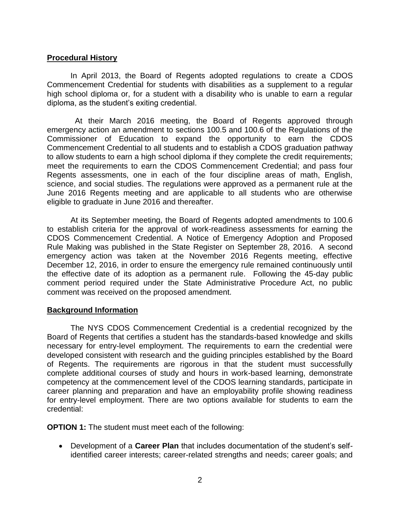#### **Procedural History**

In April 2013, the Board of Regents adopted regulations to create a CDOS Commencement Credential for students with disabilities as a supplement to a regular high school diploma or, for a student with a disability who is unable to earn a regular diploma, as the student's exiting credential.

 At their March 2016 meeting, the Board of Regents approved through emergency action an amendment to sections 100.5 and 100.6 of the Regulations of the Commissioner of Education to expand the opportunity to earn the CDOS Commencement Credential to all students and to establish a CDOS graduation pathway to allow students to earn a high school diploma if they complete the credit requirements; meet the requirements to earn the CDOS Commencement Credential; and pass four Regents assessments, one in each of the four discipline areas of math, English, science, and social studies. The regulations were approved as a permanent rule at the June 2016 Regents meeting and are applicable to all students who are otherwise eligible to graduate in June 2016 and thereafter.

At its September meeting, the Board of Regents adopted amendments to 100.6 to establish criteria for the approval of work-readiness assessments for earning the CDOS Commencement Credential. A Notice of Emergency Adoption and Proposed Rule Making was published in the State Register on September 28, 2016. A second emergency action was taken at the November 2016 Regents meeting, effective December 12, 2016, in order to ensure the emergency rule remained continuously until the effective date of its adoption as a permanent rule. Following the 45-day public comment period required under the State Administrative Procedure Act, no public comment was received on the proposed amendment.

#### **Background Information**

The NYS CDOS Commencement Credential is a credential recognized by the Board of Regents that certifies a student has the standards-based knowledge and skills necessary for entry-level employment. The requirements to earn the credential were developed consistent with research and the guiding principles established by the Board of Regents. The requirements are rigorous in that the student must successfully complete additional courses of study and hours in work-based learning, demonstrate competency at the commencement level of the CDOS learning standards, participate in career planning and preparation and have an employability profile showing readiness for entry-level employment. There are two options available for students to earn the credential:

**OPTION 1:** The student must meet each of the following:

 Development of a **Career Plan** that includes documentation of the student's selfidentified career interests; career-related strengths and needs; career goals; and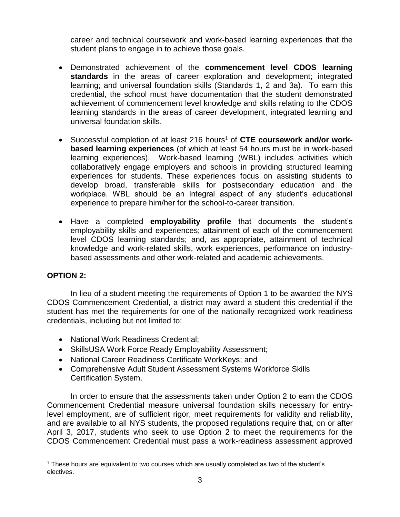career and technical coursework and work-based learning experiences that the student plans to engage in to achieve those goals.

- Demonstrated achievement of the **commencement level CDOS learning standards** in the areas of career exploration and development; integrated learning; and universal foundation skills (Standards 1, 2 and 3a). To earn this credential, the school must have documentation that the student demonstrated achievement of commencement level knowledge and skills relating to the CDOS learning standards in the areas of career development, integrated learning and universal foundation skills.
- Successful completion of at least 216 hours<sup>1</sup> of **CTE coursework and/or workbased learning experiences** (of which at least 54 hours must be in work-based learning experiences). Work-based learning (WBL) includes activities which collaboratively engage employers and schools in providing structured learning experiences for students. These experiences focus on assisting students to develop broad, transferable skills for postsecondary education and the workplace. WBL should be an integral aspect of any student's educational experience to prepare him/her for the school-to-career transition.
- Have a completed **employability profile** that documents the student's employability skills and experiences; attainment of each of the commencement level CDOS learning standards; and, as appropriate, attainment of technical knowledge and work-related skills, work experiences, performance on industrybased assessments and other work-related and academic achievements.

## **OPTION 2:**

 $\overline{a}$ 

In lieu of a student meeting the requirements of Option 1 to be awarded the NYS CDOS Commencement Credential, a district may award a student this credential if the student has met the requirements for one of the nationally recognized work readiness credentials, including but not limited to:

- National Work Readiness Credential:
- SkillsUSA Work Force Ready Employability Assessment;
- National Career Readiness Certificate WorkKeys; and
- Comprehensive Adult Student Assessment Systems Workforce Skills Certification System.

In order to ensure that the assessments taken under Option 2 to earn the CDOS Commencement Credential measure universal foundation skills necessary for entrylevel employment, are of sufficient rigor, meet requirements for validity and reliability, and are available to all NYS students, the proposed regulations require that, on or after April 3, 2017, students who seek to use Option 2 to meet the requirements for the CDOS Commencement Credential must pass a work-readiness assessment approved

<sup>1</sup> These hours are equivalent to two courses which are usually completed as two of the student's electives.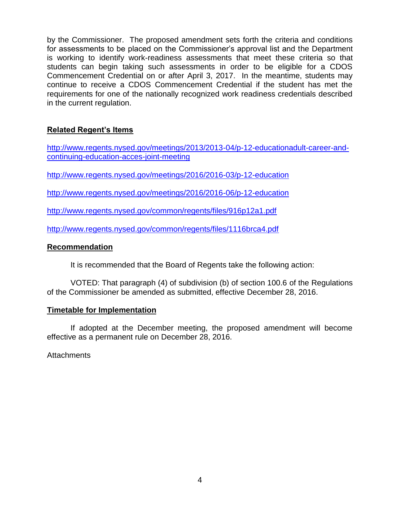by the Commissioner. The proposed amendment sets forth the criteria and conditions for assessments to be placed on the Commissioner's approval list and the Department is working to identify work-readiness assessments that meet these criteria so that students can begin taking such assessments in order to be eligible for a CDOS Commencement Credential on or after April 3, 2017. In the meantime, students may continue to receive a CDOS Commencement Credential if the student has met the requirements for one of the nationally recognized work readiness credentials described in the current regulation.

# **Related Regent's Items**

[http://www.regents.nysed.gov/meetings/2013/2013-04/p-12-educationadult-career-and](http://www.regents.nysed.gov/meetings/2013/2013-04/p-12-educationadult-career-and-continuing-education-acces-joint-meeting)[continuing-education-acces-joint-meeting](http://www.regents.nysed.gov/meetings/2013/2013-04/p-12-educationadult-career-and-continuing-education-acces-joint-meeting)

<http://www.regents.nysed.gov/meetings/2016/2016-03/p-12-education>

<http://www.regents.nysed.gov/meetings/2016/2016-06/p-12-education>

<http://www.regents.nysed.gov/common/regents/files/916p12a1.pdf>

<http://www.regents.nysed.gov/common/regents/files/1116brca4.pdf>

## **Recommendation**

It is recommended that the Board of Regents take the following action:

VOTED: That paragraph (4) of subdivision (b) of section 100.6 of the Regulations of the Commissioner be amended as submitted, effective December 28, 2016.

## **Timetable for Implementation**

If adopted at the December meeting, the proposed amendment will become effective as a permanent rule on December 28, 2016.

**Attachments**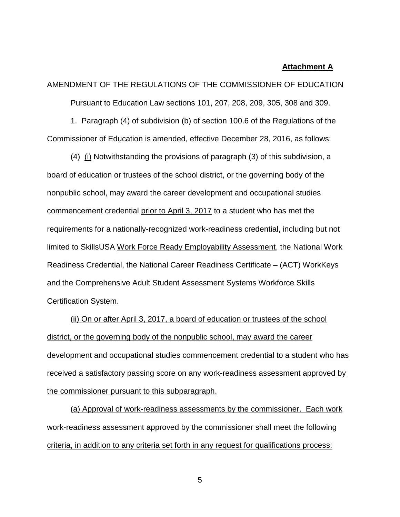#### **Attachment A**

AMENDMENT OF THE REGULATIONS OF THE COMMISSIONER OF EDUCATION Pursuant to Education Law sections 101, 207, 208, 209, 305, 308 and 309.

1. Paragraph (4) of subdivision (b) of section 100.6 of the Regulations of the Commissioner of Education is amended, effective December 28, 2016, as follows:

(4) (i) Notwithstanding the provisions of paragraph (3) of this subdivision, a board of education or trustees of the school district, or the governing body of the nonpublic school, may award the career development and occupational studies commencement credential prior to April 3, 2017 to a student who has met the requirements for a nationally-recognized work-readiness credential, including but not limited to SkillsUSA Work Force Ready Employability Assessment, the National Work Readiness Credential, the National Career Readiness Certificate – (ACT) WorkKeys and the Comprehensive Adult Student Assessment Systems Workforce Skills Certification System.

(ii) On or after April 3, 2017, a board of education or trustees of the school district, or the governing body of the nonpublic school, may award the career development and occupational studies commencement credential to a student who has received a satisfactory passing score on any work-readiness assessment approved by the commissioner pursuant to this subparagraph.

(a) Approval of work-readiness assessments by the commissioner. Each work work-readiness assessment approved by the commissioner shall meet the following criteria, in addition to any criteria set forth in any request for qualifications process:

5